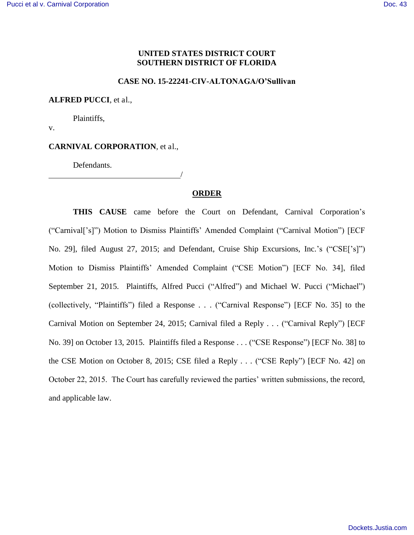### **UNITED STATES DISTRICT COURT SOUTHERN DISTRICT OF FLORIDA**

#### **CASE NO. 15-22241-CIV-ALTONAGA/O'Sullivan**

#### **ALFRED PUCCI**, et al.,

Plaintiffs,

v.

### **CARNIVAL CORPORATION**, et al.,

Defendants.

<u>/</u>

### **ORDER**

**THIS CAUSE** came before the Court on Defendant, Carnival Corporation's ("Carnival['s]") Motion to Dismiss Plaintiffs' Amended Complaint ("Carnival Motion") [ECF No. 29], filed August 27, 2015; and Defendant, Cruise Ship Excursions, Inc.'s ("CSE['s]") Motion to Dismiss Plaintiffs' Amended Complaint ("CSE Motion") [ECF No. 34], filed September 21, 2015. Plaintiffs, Alfred Pucci ("Alfred") and Michael W. Pucci ("Michael") (collectively, "Plaintiffs") filed a Response . . . ("Carnival Response") [ECF No. 35] to the Carnival Motion on September 24, 2015; Carnival filed a Reply . . . ("Carnival Reply") [ECF No. 39] on October 13, 2015. Plaintiffs filed a Response . . . ("CSE Response") [ECF No. 38] to the CSE Motion on October 8, 2015; CSE filed a Reply . . . ("CSE Reply") [ECF No. 42] on October 22, 2015. The Court has carefully reviewed the parties' written submissions, the record, and applicable law.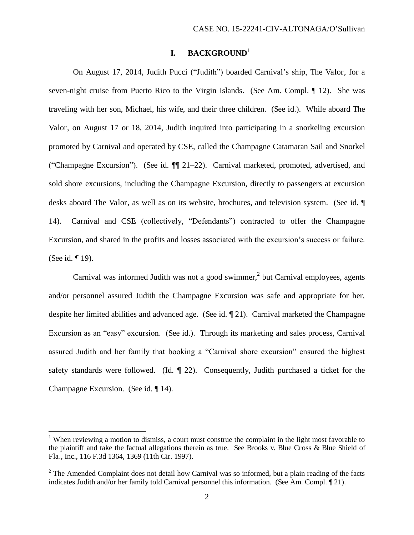## **I. BACKGROUND**<sup>1</sup>

On August 17, 2014, Judith Pucci ("Judith") boarded Carnival's ship, The Valor, for a seven-night cruise from Puerto Rico to the Virgin Islands. (See Am. Compl. 12). She was traveling with her son, Michael, his wife, and their three children. (See id.). While aboard The Valor, on August 17 or 18, 2014, Judith inquired into participating in a snorkeling excursion promoted by Carnival and operated by CSE, called the Champagne Catamaran Sail and Snorkel ("Champagne Excursion"). (See id. ¶¶ 21–22). Carnival marketed, promoted, advertised, and sold shore excursions, including the Champagne Excursion, directly to passengers at excursion desks aboard The Valor, as well as on its website, brochures, and television system. (See id. ¶ 14). Carnival and CSE (collectively, "Defendants") contracted to offer the Champagne Excursion, and shared in the profits and losses associated with the excursion's success or failure. (See id. ¶ 19).

Carnival was informed Judith was not a good swimmer, $<sup>2</sup>$  but Carnival employees, agents</sup> and/or personnel assured Judith the Champagne Excursion was safe and appropriate for her, despite her limited abilities and advanced age. (See id. ¶ 21). Carnival marketed the Champagne Excursion as an "easy" excursion. (See id.). Through its marketing and sales process, Carnival assured Judith and her family that booking a "Carnival shore excursion" ensured the highest safety standards were followed. (Id. ¶ 22). Consequently, Judith purchased a ticket for the Champagne Excursion. (See id. ¶ 14).

 $\overline{a}$ 

<sup>&</sup>lt;sup>1</sup> When reviewing a motion to dismiss, a court must construe the complaint in the light most favorable to the plaintiff and take the factual allegations therein as true. See Brooks v. Blue Cross & Blue Shield of Fla., Inc., 116 F.3d 1364, 1369 (11th Cir. 1997).

 $2$  The Amended Complaint does not detail how Carnival was so informed, but a plain reading of the facts indicates Judith and/or her family told Carnival personnel this information. (See Am. Compl. ¶ 21).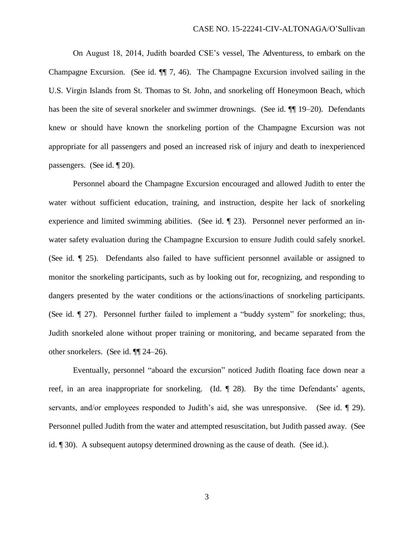On August 18, 2014, Judith boarded CSE's vessel, The Adventuress, to embark on the Champagne Excursion. (See id. ¶¶ 7, 46). The Champagne Excursion involved sailing in the U.S. Virgin Islands from St. Thomas to St. John, and snorkeling off Honeymoon Beach, which has been the site of several snorkeler and swimmer drownings. (See id.  $\P$  19–20). Defendants knew or should have known the snorkeling portion of the Champagne Excursion was not appropriate for all passengers and posed an increased risk of injury and death to inexperienced passengers. (See id. ¶ 20).

Personnel aboard the Champagne Excursion encouraged and allowed Judith to enter the water without sufficient education, training, and instruction, despite her lack of snorkeling experience and limited swimming abilities. (See id. ¶ 23). Personnel never performed an inwater safety evaluation during the Champagne Excursion to ensure Judith could safely snorkel. (See id. ¶ 25). Defendants also failed to have sufficient personnel available or assigned to monitor the snorkeling participants, such as by looking out for, recognizing, and responding to dangers presented by the water conditions or the actions/inactions of snorkeling participants. (See id. ¶ 27). Personnel further failed to implement a "buddy system" for snorkeling; thus, Judith snorkeled alone without proper training or monitoring, and became separated from the other snorkelers. (See id. ¶¶ 24–26).

Eventually, personnel "aboard the excursion" noticed Judith floating face down near a reef, in an area inappropriate for snorkeling. (Id. ¶ 28). By the time Defendants' agents, servants, and/or employees responded to Judith's aid, she was unresponsive. (See id. ¶ 29). Personnel pulled Judith from the water and attempted resuscitation, but Judith passed away. (See id. ¶ 30). A subsequent autopsy determined drowning as the cause of death. (See id.).

3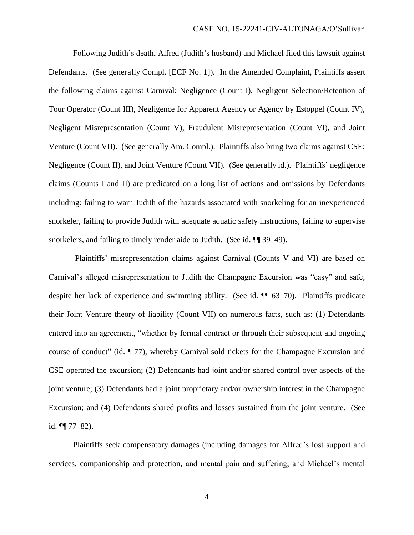Following Judith's death, Alfred (Judith's husband) and Michael filed this lawsuit against Defendants. (See generally Compl. [ECF No. 1]). In the Amended Complaint, Plaintiffs assert the following claims against Carnival: Negligence (Count I), Negligent Selection/Retention of Tour Operator (Count III), Negligence for Apparent Agency or Agency by Estoppel (Count IV), Negligent Misrepresentation (Count V), Fraudulent Misrepresentation (Count VI), and Joint Venture (Count VII). (See generally Am. Compl.). Plaintiffs also bring two claims against CSE: Negligence (Count II), and Joint Venture (Count VII). (See generally id.). Plaintiffs' negligence claims (Counts I and II) are predicated on a long list of actions and omissions by Defendants including: failing to warn Judith of the hazards associated with snorkeling for an inexperienced snorkeler, failing to provide Judith with adequate aquatic safety instructions, failing to supervise snorkelers, and failing to timely render aide to Judith. (See id.  $\P$  39–49).

 Plaintiffs' misrepresentation claims against Carnival (Counts V and VI) are based on Carnival's alleged misrepresentation to Judith the Champagne Excursion was "easy" and safe, despite her lack of experience and swimming ability. (See id. ¶¶ 63–70). Plaintiffs predicate their Joint Venture theory of liability (Count VII) on numerous facts, such as: (1) Defendants entered into an agreement, "whether by formal contract or through their subsequent and ongoing course of conduct" (id. ¶ 77), whereby Carnival sold tickets for the Champagne Excursion and CSE operated the excursion; (2) Defendants had joint and/or shared control over aspects of the joint venture; (3) Defendants had a joint proprietary and/or ownership interest in the Champagne Excursion; and (4) Defendants shared profits and losses sustained from the joint venture. (See id.  $\P\P$  77–82).

Plaintiffs seek compensatory damages (including damages for Alfred's lost support and services, companionship and protection, and mental pain and suffering, and Michael's mental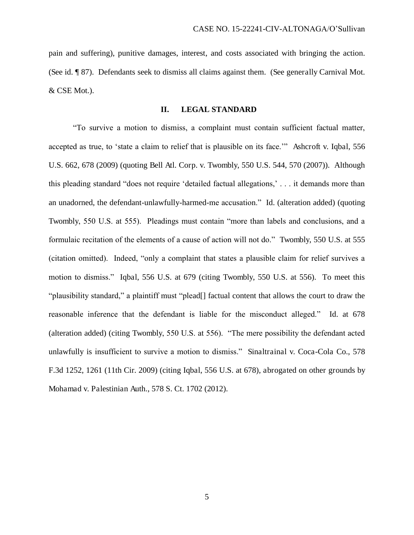pain and suffering), punitive damages, interest, and costs associated with bringing the action. (See id. ¶ 87). Defendants seek to dismiss all claims against them. (See generally Carnival Mot. & CSE Mot.).

#### **II. LEGAL STANDARD**

"To survive a motion to dismiss, a complaint must contain sufficient factual matter, accepted as true, to 'state a claim to relief that is plausible on its face.'" Ashcroft v. Iqbal, 556 U.S. 662, 678 (2009) (quoting Bell Atl. Corp. v. Twombly, 550 U.S. 544, 570 (2007)). Although this pleading standard "does not require 'detailed factual allegations,' . . . it demands more than an unadorned, the defendant-unlawfully-harmed-me accusation." Id. (alteration added) (quoting Twombly, 550 U.S. at 555). Pleadings must contain "more than labels and conclusions, and a formulaic recitation of the elements of a cause of action will not do." Twombly, 550 U.S. at 555 (citation omitted). Indeed, "only a complaint that states a plausible claim for relief survives a motion to dismiss." Iqbal, 556 U.S. at 679 (citing Twombly, 550 U.S. at 556). To meet this "plausibility standard," a plaintiff must "plead[] factual content that allows the court to draw the reasonable inference that the defendant is liable for the misconduct alleged." Id. at 678 (alteration added) (citing Twombly, 550 U.S. at 556). "The mere possibility the defendant acted unlawfully is insufficient to survive a motion to dismiss." Sinaltrainal v. Coca-Cola Co., 578 F.3d 1252, 1261 (11th Cir. 2009) (citing Iqbal, 556 U.S. at 678), abrogated on other grounds by Mohamad v. Palestinian Auth., 578 S. Ct. 1702 (2012).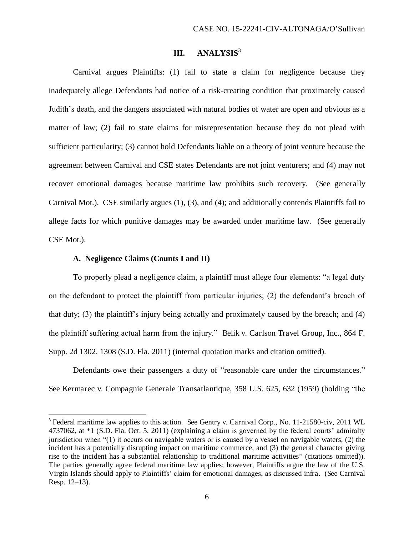# **III. ANALYSIS**<sup>3</sup>

Carnival argues Plaintiffs: (1) fail to state a claim for negligence because they inadequately allege Defendants had notice of a risk-creating condition that proximately caused Judith's death, and the dangers associated with natural bodies of water are open and obvious as a matter of law; (2) fail to state claims for misrepresentation because they do not plead with sufficient particularity; (3) cannot hold Defendants liable on a theory of joint venture because the agreement between Carnival and CSE states Defendants are not joint venturers; and (4) may not recover emotional damages because maritime law prohibits such recovery. (See generally Carnival Mot.). CSE similarly argues (1), (3), and (4); and additionally contends Plaintiffs fail to allege facts for which punitive damages may be awarded under maritime law. (See generally CSE Mot.).

#### **A. Negligence Claims (Counts I and II)**

l

To properly plead a negligence claim, a plaintiff must allege four elements: "a legal duty on the defendant to protect the plaintiff from particular injuries; (2) the defendant's breach of that duty; (3) the plaintiff's injury being actually and proximately caused by the breach; and (4) the plaintiff suffering actual harm from the injury." Belik v. Carlson Travel Group, Inc., 864 F. Supp. 2d 1302, 1308 (S.D. Fla. 2011) (internal quotation marks and citation omitted).

Defendants owe their passengers a duty of "reasonable care under the circumstances." See Kermarec v. Compagnie Generale Transatlantique, 358 U.S. 625, 632 (1959) (holding "the

<sup>&</sup>lt;sup>3</sup> Federal maritime law applies to this action. See Gentry v. Carnival Corp., No. 11-21580-civ, 2011 WL 4737062, at \*1 (S.D. Fla. Oct. 5, 2011) (explaining a claim is governed by the federal courts' admiralty jurisdiction when "(1) it occurs on navigable waters or is caused by a vessel on navigable waters, (2) the incident has a potentially disrupting impact on maritime commerce, and (3) the general character giving rise to the incident has a substantial relationship to traditional maritime activities" (citations omitted)). The parties generally agree federal maritime law applies; however, Plaintiffs argue the law of the U.S. Virgin Islands should apply to Plaintiffs' claim for emotional damages, as discussed infra. (See Carnival Resp. 12–13).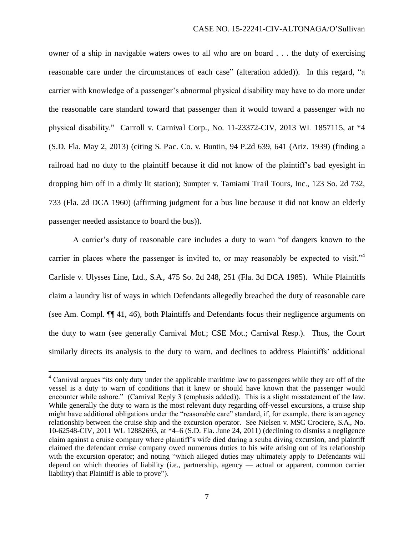owner of a ship in navigable waters owes to all who are on board . . . the duty of exercising reasonable care under the circumstances of each case" (alteration added)). In this regard, "a carrier with knowledge of a passenger's abnormal physical disability may have to do more under the reasonable care standard toward that passenger than it would toward a passenger with no physical disability." Carroll v. Carnival Corp., No. 11-23372-CIV, 2013 WL 1857115, at \*4 (S.D. Fla. May 2, 2013) (citing S. Pac. Co. v. Buntin, 94 P.2d 639, 641 (Ariz. 1939) (finding a railroad had no duty to the plaintiff because it did not know of the plaintiff's bad eyesight in dropping him off in a dimly lit station); Sumpter v. Tamiami Trail Tours, Inc., 123 So. 2d 732, 733 (Fla. 2d DCA 1960) (affirming judgment for a bus line because it did not know an elderly passenger needed assistance to board the bus)).

A carrier's duty of reasonable care includes a duty to warn "of dangers known to the carrier in places where the passenger is invited to, or may reasonably be expected to visit."<sup>4</sup> Carlisle v. Ulysses Line, Ltd., S.A., 475 So. 2d 248, 251 (Fla. 3d DCA 1985). While Plaintiffs claim a laundry list of ways in which Defendants allegedly breached the duty of reasonable care (see Am. Compl. ¶¶ 41, 46), both Plaintiffs and Defendants focus their negligence arguments on the duty to warn (see generally Carnival Mot.; CSE Mot.; Carnival Resp.). Thus, the Court similarly directs its analysis to the duty to warn, and declines to address Plaintiffs' additional

l

<sup>&</sup>lt;sup>4</sup> Carnival argues "its only duty under the applicable maritime law to passengers while they are off of the vessel is a duty to warn of conditions that it knew or should have known that the passenger would encounter while ashore." (Carnival Reply 3 (emphasis added)). This is a slight misstatement of the law. While generally the duty to warn is the most relevant duty regarding off-vessel excursions, a cruise ship might have additional obligations under the "reasonable care" standard, if, for example, there is an agency relationship between the cruise ship and the excursion operator. See Nielsen v. MSC Crociere, S.A., No. 10-62548-CIV, 2011 WL 12882693, at \*4–6 (S.D. Fla. June 24, 2011) (declining to dismiss a negligence claim against a cruise company where plaintiff's wife died during a scuba diving excursion, and plaintiff claimed the defendant cruise company owed numerous duties to his wife arising out of its relationship with the excursion operator; and noting "which alleged duties may ultimately apply to Defendants will depend on which theories of liability (i.e., partnership, agency — actual or apparent, common carrier liability) that Plaintiff is able to prove").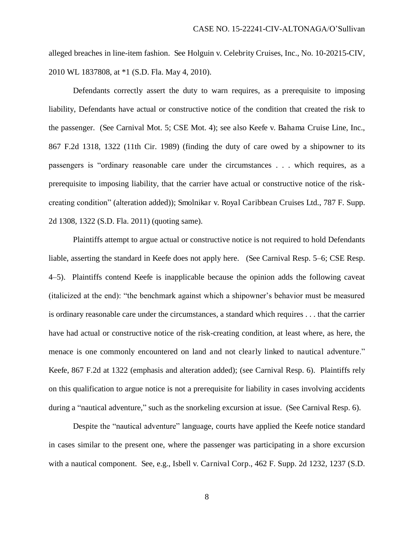alleged breaches in line-item fashion. See Holguin v. Celebrity Cruises, Inc., No. 10-20215-CIV, 2010 WL 1837808, at \*1 (S.D. Fla. May 4, 2010).

Defendants correctly assert the duty to warn requires, as a prerequisite to imposing liability, Defendants have actual or constructive notice of the condition that created the risk to the passenger. (See Carnival Mot. 5; CSE Mot. 4); see also Keefe v. Bahama Cruise Line, Inc., 867 F.2d 1318, 1322 (11th Cir. 1989) (finding the duty of care owed by a shipowner to its passengers is "ordinary reasonable care under the circumstances . . . which requires, as a prerequisite to imposing liability, that the carrier have actual or constructive notice of the riskcreating condition" (alteration added)); Smolnikar v. Royal Caribbean Cruises Ltd., 787 F. Supp. 2d 1308, 1322 (S.D. Fla. 2011) (quoting same).

Plaintiffs attempt to argue actual or constructive notice is not required to hold Defendants liable, asserting the standard in Keefe does not apply here. (See Carnival Resp. 5–6; CSE Resp. 4–5). Plaintiffs contend Keefe is inapplicable because the opinion adds the following caveat (italicized at the end): "the benchmark against which a shipowner's behavior must be measured is ordinary reasonable care under the circumstances, a standard which requires . . . that the carrier have had actual or constructive notice of the risk-creating condition, at least where, as here, the menace is one commonly encountered on land and not clearly linked to nautical adventure." Keefe, 867 F.2d at 1322 (emphasis and alteration added); (see Carnival Resp. 6). Plaintiffs rely on this qualification to argue notice is not a prerequisite for liability in cases involving accidents during a "nautical adventure," such as the snorkeling excursion at issue. (See Carnival Resp. 6).

Despite the "nautical adventure" language, courts have applied the Keefe notice standard in cases similar to the present one, where the passenger was participating in a shore excursion with a nautical component. See, e.g., Isbell v. Carnival Corp., 462 F. Supp. 2d 1232, 1237 (S.D.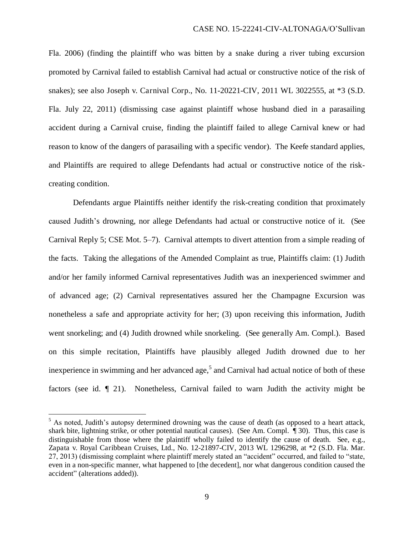Fla. 2006) (finding the plaintiff who was bitten by a snake during a river tubing excursion promoted by Carnival failed to establish Carnival had actual or constructive notice of the risk of snakes); see also Joseph v. Carnival Corp., No. 11-20221-CIV, 2011 WL 3022555, at \*3 (S.D. Fla. July 22, 2011) (dismissing case against plaintiff whose husband died in a parasailing accident during a Carnival cruise, finding the plaintiff failed to allege Carnival knew or had reason to know of the dangers of parasailing with a specific vendor). The Keefe standard applies, and Plaintiffs are required to allege Defendants had actual or constructive notice of the riskcreating condition.

Defendants argue Plaintiffs neither identify the risk-creating condition that proximately caused Judith's drowning, nor allege Defendants had actual or constructive notice of it. (See Carnival Reply 5; CSE Mot. 5–7). Carnival attempts to divert attention from a simple reading of the facts. Taking the allegations of the Amended Complaint as true, Plaintiffs claim: (1) Judith and/or her family informed Carnival representatives Judith was an inexperienced swimmer and of advanced age; (2) Carnival representatives assured her the Champagne Excursion was nonetheless a safe and appropriate activity for her; (3) upon receiving this information, Judith went snorkeling; and (4) Judith drowned while snorkeling. (See generally Am. Compl.). Based on this simple recitation, Plaintiffs have plausibly alleged Judith drowned due to her inexperience in swimming and her advanced age,<sup>5</sup> and Carnival had actual notice of both of these factors (see id. ¶ 21). Nonetheless, Carnival failed to warn Judith the activity might be

l

<sup>&</sup>lt;sup>5</sup> As noted, Judith's autopsy determined drowning was the cause of death (as opposed to a heart attack, shark bite, lightning strike, or other potential nautical causes). (See Am. Compl. ¶ 30). Thus, this case is distinguishable from those where the plaintiff wholly failed to identify the cause of death. See, e.g., Zapata v. Royal Caribbean Cruises, Ltd., No. 12-21897-CIV, 2013 WL 1296298, at \*2 (S.D. Fla. Mar. 27, 2013) (dismissing complaint where plaintiff merely stated an "accident" occurred, and failed to "state, even in a non-specific manner, what happened to [the decedent], nor what dangerous condition caused the accident" (alterations added)).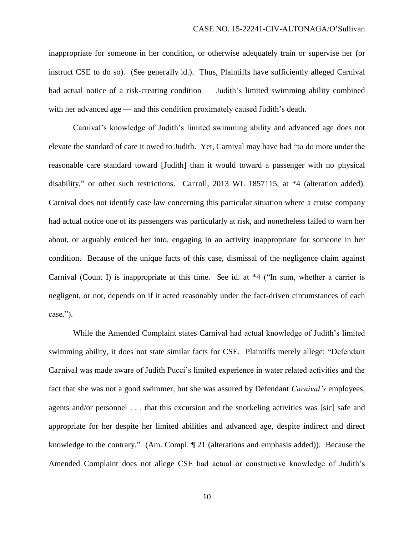inappropriate for someone in her condition, or otherwise adequately train or supervise her (or instruct CSE to do so). (See generally id.). Thus, Plaintiffs have sufficiently alleged Carnival had actual notice of a risk-creating condition — Judith's limited swimming ability combined with her advanced age — and this condition proximately caused Judith's death.

Carnival's knowledge of Judith's limited swimming ability and advanced age does not elevate the standard of care it owed to Judith. Yet, Carnival may have had "to do more under the reasonable care standard toward [Judith] than it would toward a passenger with no physical disability," or other such restrictions. Carroll, 2013 WL 1857115, at \*4 (alteration added). Carnival does not identify case law concerning this particular situation where a cruise company had actual notice one of its passengers was particularly at risk, and nonetheless failed to warn her about, or arguably enticed her into, engaging in an activity inappropriate for someone in her condition. Because of the unique facts of this case, dismissal of the negligence claim against Carnival (Count I) is inappropriate at this time. See id. at \*4 ("In sum, whether a carrier is negligent, or not, depends on if it acted reasonably under the fact-driven circumstances of each case.").

While the Amended Complaint states Carnival had actual knowledge of Judith's limited swimming ability, it does not state similar facts for CSE. Plaintiffs merely allege: "Defendant Carnival was made aware of Judith Pucci's limited experience in water related activities and the fact that she was not a good swimmer, but she was assured by Defendant *Carnival's* employees, agents and/or personnel . . . that this excursion and the snorkeling activities was [sic] safe and appropriate for her despite her limited abilities and advanced age, despite indirect and direct knowledge to the contrary." (Am. Compl. ¶ 21 (alterations and emphasis added)). Because the Amended Complaint does not allege CSE had actual or constructive knowledge of Judith's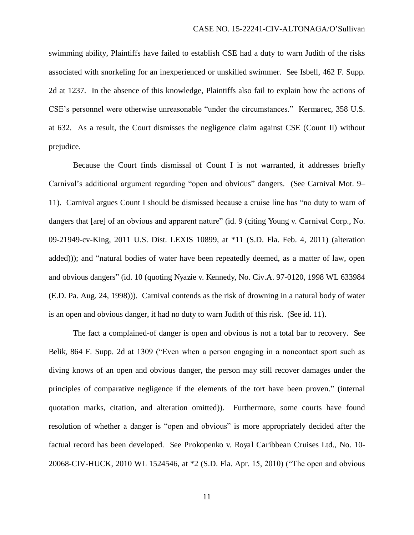swimming ability, Plaintiffs have failed to establish CSE had a duty to warn Judith of the risks associated with snorkeling for an inexperienced or unskilled swimmer. See Isbell, 462 F. Supp. 2d at 1237. In the absence of this knowledge, Plaintiffs also fail to explain how the actions of CSE's personnel were otherwise unreasonable "under the circumstances." Kermarec, 358 U.S. at 632. As a result, the Court dismisses the negligence claim against CSE (Count II) without prejudice.

 Because the Court finds dismissal of Count I is not warranted, it addresses briefly Carnival's additional argument regarding "open and obvious" dangers. (See Carnival Mot. 9– 11). Carnival argues Count I should be dismissed because a cruise line has "no duty to warn of dangers that [are] of an obvious and apparent nature" (id. 9 (citing Young v. Carnival Corp., No. 09-21949-cv-King, 2011 U.S. Dist. LEXIS 10899, at \*11 (S.D. Fla. Feb. 4, 2011) (alteration added))); and "natural bodies of water have been repeatedly deemed, as a matter of law, open and obvious dangers" (id. 10 (quoting Nyazie v. Kennedy, No. Civ.A. 97-0120, 1998 WL 633984 (E.D. Pa. Aug. 24, 1998))). Carnival contends as the risk of drowning in a natural body of water is an open and obvious danger, it had no duty to warn Judith of this risk. (See id. 11).

 The fact a complained-of danger is open and obvious is not a total bar to recovery. See Belik, 864 F. Supp. 2d at 1309 ("Even when a person engaging in a noncontact sport such as diving knows of an open and obvious danger, the person may still recover damages under the principles of comparative negligence if the elements of the tort have been proven." (internal quotation marks, citation, and alteration omitted)). Furthermore, some courts have found resolution of whether a danger is "open and obvious" is more appropriately decided after the factual record has been developed. See Prokopenko v. Royal Caribbean Cruises Ltd., No. 10- 20068-CIV-HUCK, 2010 WL 1524546, at \*2 (S.D. Fla. Apr. 15, 2010) ("The open and obvious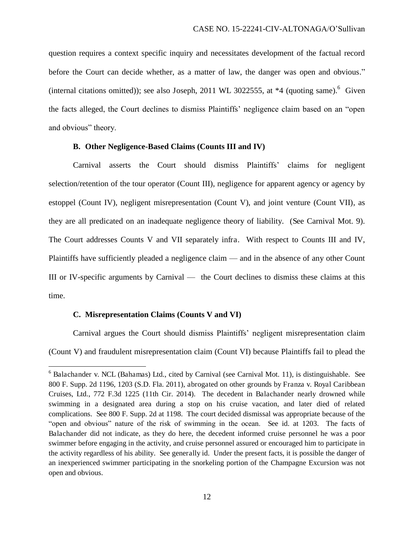question requires a context specific inquiry and necessitates development of the factual record before the Court can decide whether, as a matter of law, the danger was open and obvious." (internal citations omitted)); see also Joseph, 2011 WL 3022555, at  $*4$  (quoting same). <sup>6</sup> Given the facts alleged, the Court declines to dismiss Plaintiffs' negligence claim based on an "open and obvious" theory.

## **B. Other Negligence-Based Claims (Counts III and IV)**

 Carnival asserts the Court should dismiss Plaintiffs' claims for negligent selection/retention of the tour operator (Count III), negligence for apparent agency or agency by estoppel (Count IV), negligent misrepresentation (Count V), and joint venture (Count VII), as they are all predicated on an inadequate negligence theory of liability. (See Carnival Mot. 9). The Court addresses Counts V and VII separately infra. With respect to Counts III and IV, Plaintiffs have sufficiently pleaded a negligence claim — and in the absence of any other Count III or IV-specific arguments by Carnival — the Court declines to dismiss these claims at this time.

#### **C. Misrepresentation Claims (Counts V and VI)**

l

 Carnival argues the Court should dismiss Plaintiffs' negligent misrepresentation claim (Count V) and fraudulent misrepresentation claim (Count VI) because Plaintiffs fail to plead the

<sup>&</sup>lt;sup>6</sup> Balachander v. NCL (Bahamas) Ltd., cited by Carnival (see Carnival Mot. 11), is distinguishable. See 800 F. Supp. 2d 1196, 1203 (S.D. Fla. 2011), abrogated on other grounds by Franza v. Royal Caribbean Cruises, Ltd., 772 F.3d 1225 (11th Cir. 2014). The decedent in Balachander nearly drowned while swimming in a designated area during a stop on his cruise vacation, and later died of related complications. See 800 F. Supp. 2d at 1198. The court decided dismissal was appropriate because of the "open and obvious" nature of the risk of swimming in the ocean. See id. at 1203. The facts of Balachander did not indicate, as they do here, the decedent informed cruise personnel he was a poor swimmer before engaging in the activity, and cruise personnel assured or encouraged him to participate in the activity regardless of his ability. See generally id. Under the present facts, it is possible the danger of an inexperienced swimmer participating in the snorkeling portion of the Champagne Excursion was not open and obvious.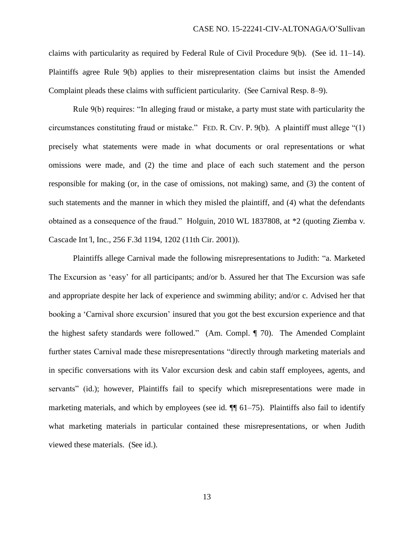claims with particularity as required by Federal Rule of Civil Procedure 9(b). (See id. 11–14). Plaintiffs agree Rule 9(b) applies to their misrepresentation claims but insist the Amended Complaint pleads these claims with sufficient particularity. (See Carnival Resp. 8–9).

Rule 9(b) requires: "In alleging fraud or mistake, a party must state with particularity the circumstances constituting fraud or mistake." FED. R. CIV. P. 9(b). A plaintiff must allege "(1) precisely what statements were made in what documents or oral representations or what omissions were made, and (2) the time and place of each such statement and the person responsible for making (or, in the case of omissions, not making) same, and (3) the content of such statements and the manner in which they misled the plaintiff, and (4) what the defendants obtained as a consequence of the fraud." Holguin, 2010 WL 1837808, at \*2 (quoting Ziemba v. Cascade Int*'*l, Inc., 256 F.3d 1194, 1202 (11th Cir. 2001)).

 Plaintiffs allege Carnival made the following misrepresentations to Judith: "a. Marketed The Excursion as 'easy' for all participants; and/or b. Assured her that The Excursion was safe and appropriate despite her lack of experience and swimming ability; and/or c. Advised her that booking a 'Carnival shore excursion' insured that you got the best excursion experience and that the highest safety standards were followed." (Am. Compl. ¶ 70). The Amended Complaint further states Carnival made these misrepresentations "directly through marketing materials and in specific conversations with its Valor excursion desk and cabin staff employees, agents, and servants" (id.); however, Plaintiffs fail to specify which misrepresentations were made in marketing materials, and which by employees (see id.  $\P$  61–75). Plaintiffs also fail to identify what marketing materials in particular contained these misrepresentations, or when Judith viewed these materials. (See id.).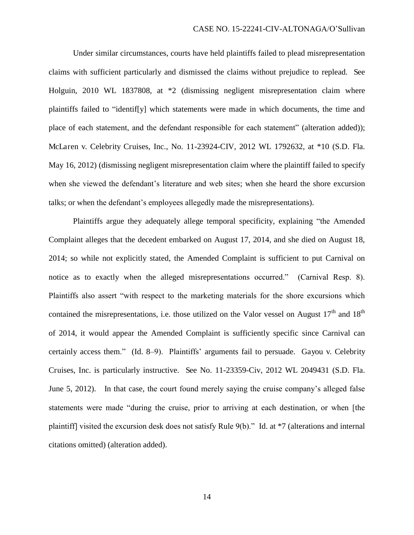Under similar circumstances, courts have held plaintiffs failed to plead misrepresentation claims with sufficient particularly and dismissed the claims without prejudice to replead. See Holguin, 2010 WL 1837808, at \*2 (dismissing negligent misrepresentation claim where plaintiffs failed to "identif[y] which statements were made in which documents, the time and place of each statement, and the defendant responsible for each statement" (alteration added)); McLaren v. Celebrity Cruises, Inc., No. 11-23924-CIV, 2012 WL 1792632, at \*10 (S.D. Fla. May 16, 2012) (dismissing negligent misrepresentation claim where the plaintiff failed to specify when she viewed the defendant's literature and web sites; when she heard the shore excursion talks; or when the defendant's employees allegedly made the misrepresentations).

 Plaintiffs argue they adequately allege temporal specificity, explaining "the Amended Complaint alleges that the decedent embarked on August 17, 2014, and she died on August 18, 2014; so while not explicitly stated, the Amended Complaint is sufficient to put Carnival on notice as to exactly when the alleged misrepresentations occurred." (Carnival Resp. 8). Plaintiffs also assert "with respect to the marketing materials for the shore excursions which contained the misrepresentations, i.e. those utilized on the Valor vessel on August  $17<sup>th</sup>$  and  $18<sup>th</sup>$ of 2014, it would appear the Amended Complaint is sufficiently specific since Carnival can certainly access them." (Id. 8–9). Plaintiffs' arguments fail to persuade. Gayou v. Celebrity Cruises, Inc. is particularly instructive. See No. 11-23359-Civ, 2012 WL 2049431 (S.D. Fla. June 5, 2012). In that case, the court found merely saying the cruise company's alleged false statements were made "during the cruise, prior to arriving at each destination, or when [the plaintiff] visited the excursion desk does not satisfy Rule 9(b)." Id. at \*7 (alterations and internal citations omitted) (alteration added).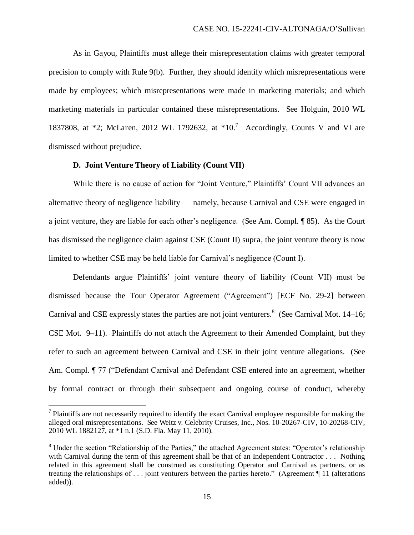As in Gayou, Plaintiffs must allege their misrepresentation claims with greater temporal precision to comply with Rule 9(b). Further, they should identify which misrepresentations were made by employees; which misrepresentations were made in marketing materials; and which marketing materials in particular contained these misrepresentations. See Holguin, 2010 WL 1837808, at \*2; McLaren, 2012 WL 1792632, at \*10.<sup>7</sup> Accordingly, Counts V and VI are dismissed without prejudice.

### **D. Joint Venture Theory of Liability (Count VII)**

l

While there is no cause of action for "Joint Venture," Plaintiffs' Count VII advances an alternative theory of negligence liability — namely, because Carnival and CSE were engaged in a joint venture, they are liable for each other's negligence. (See Am. Compl. ¶ 85). As the Court has dismissed the negligence claim against CSE (Count II) supra, the joint venture theory is now limited to whether CSE may be held liable for Carnival's negligence (Count I).

Defendants argue Plaintiffs' joint venture theory of liability (Count VII) must be dismissed because the Tour Operator Agreement ("Agreement") [ECF No. 29-2] between Carnival and CSE expressly states the parties are not joint venturers.<sup>8</sup> (See Carnival Mot. 14–16; CSE Mot. 9–11). Plaintiffs do not attach the Agreement to their Amended Complaint, but they refer to such an agreement between Carnival and CSE in their joint venture allegations. (See Am. Compl. ¶ 77 ("Defendant Carnival and Defendant CSE entered into an agreement, whether by formal contract or through their subsequent and ongoing course of conduct, whereby

 $<sup>7</sup>$  Plaintiffs are not necessarily required to identify the exact Carnival employee responsible for making the</sup> alleged oral misrepresentations. See Weitz v. Celebrity Cruises, Inc., Nos. 10-20267-CIV, 10-20268-CIV, 2010 WL 1882127, at \*1 n.1 (S.D. Fla. May 11, 2010).

<sup>&</sup>lt;sup>8</sup> Under the section "Relationship of the Parties," the attached Agreement states: "Operator's relationship with Carnival during the term of this agreement shall be that of an Independent Contractor . . . Nothing related in this agreement shall be construed as constituting Operator and Carnival as partners, or as treating the relationships of . . . joint venturers between the parties hereto." (Agreement ¶ 11 (alterations added)).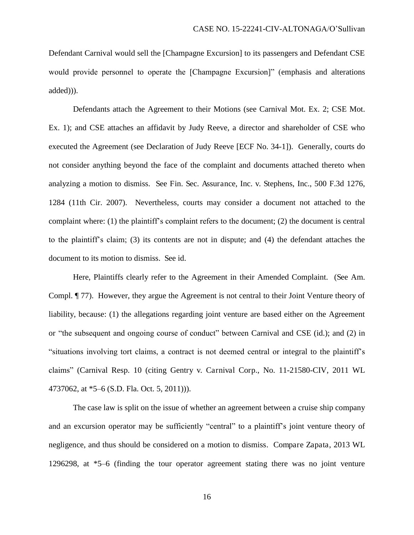Defendant Carnival would sell the [Champagne Excursion] to its passengers and Defendant CSE would provide personnel to operate the [Champagne Excursion]" (emphasis and alterations added))).

Defendants attach the Agreement to their Motions (see Carnival Mot. Ex. 2; CSE Mot. Ex. 1); and CSE attaches an affidavit by Judy Reeve, a director and shareholder of CSE who executed the Agreement (see Declaration of Judy Reeve [ECF No. 34-1]). Generally, courts do not consider anything beyond the face of the complaint and documents attached thereto when analyzing a motion to dismiss. See Fin. Sec. Assurance, Inc. v. Stephens, Inc., 500 F.3d 1276, 1284 (11th Cir. 2007). Nevertheless, courts may consider a document not attached to the complaint where: (1) the plaintiff's complaint refers to the document; (2) the document is central to the plaintiff's claim; (3) its contents are not in dispute; and (4) the defendant attaches the document to its motion to dismiss. See id.

Here, Plaintiffs clearly refer to the Agreement in their Amended Complaint. (See Am. Compl. ¶ 77). However, they argue the Agreement is not central to their Joint Venture theory of liability, because: (1) the allegations regarding joint venture are based either on the Agreement or "the subsequent and ongoing course of conduct" between Carnival and CSE (id.); and (2) in "situations involving tort claims, a contract is not deemed central or integral to the plaintiff's claims" (Carnival Resp. 10 (citing Gentry v. Carnival Corp., No. 11-21580-CIV, 2011 WL 4737062, at \*5–6 (S.D. Fla. Oct. 5, 2011))).

The case law is split on the issue of whether an agreement between a cruise ship company and an excursion operator may be sufficiently "central" to a plaintiff's joint venture theory of negligence, and thus should be considered on a motion to dismiss. Compare Zapata, 2013 WL 1296298, at \*5–6 (finding the tour operator agreement stating there was no joint venture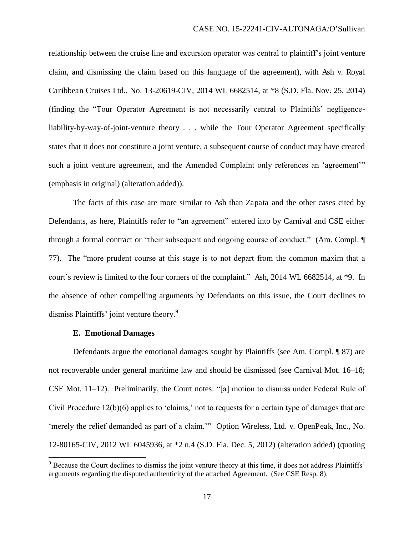relationship between the cruise line and excursion operator was central to plaintiff's joint venture claim, and dismissing the claim based on this language of the agreement), with Ash v. Royal Caribbean Cruises Ltd., No. 13-20619-CIV, 2014 WL 6682514, at \*8 (S.D. Fla. Nov. 25, 2014) (finding the "Tour Operator Agreement is not necessarily central to Plaintiffs' negligenceliability-by-way-of-joint-venture theory . . . while the Tour Operator Agreement specifically states that it does not constitute a joint venture, a subsequent course of conduct may have created such a joint venture agreement, and the Amended Complaint only references an 'agreement'" (emphasis in original) (alteration added)).

The facts of this case are more similar to Ash than Zapata and the other cases cited by Defendants, as here, Plaintiffs refer to "an agreement" entered into by Carnival and CSE either through a formal contract or "their subsequent and ongoing course of conduct." (Am. Compl. ¶ 77). The "more prudent course at this stage is to not depart from the common maxim that a court's review is limited to the four corners of the complaint." Ash, 2014 WL 6682514, at \*9. In the absence of other compelling arguments by Defendants on this issue, the Court declines to dismiss Plaintiffs' joint venture theory.<sup>9</sup>

#### **E. Emotional Damages**

l

Defendants argue the emotional damages sought by Plaintiffs (see Am. Compl. ¶ 87) are not recoverable under general maritime law and should be dismissed (see Carnival Mot. 16–18; CSE Mot. 11–12). Preliminarily, the Court notes: "[a] motion to dismiss under Federal Rule of Civil Procedure  $12(b)(6)$  applies to 'claims,' not to requests for a certain type of damages that are 'merely the relief demanded as part of a claim.'" Option Wireless, Ltd. v. OpenPeak, Inc., No. 12-80165-CIV, 2012 WL 6045936, at \*2 n.4 (S.D. Fla. Dec. 5, 2012) (alteration added) (quoting

<sup>&</sup>lt;sup>9</sup> Because the Court declines to dismiss the joint venture theory at this time, it does not address Plaintiffs' arguments regarding the disputed authenticity of the attached Agreement. (See CSE Resp. 8).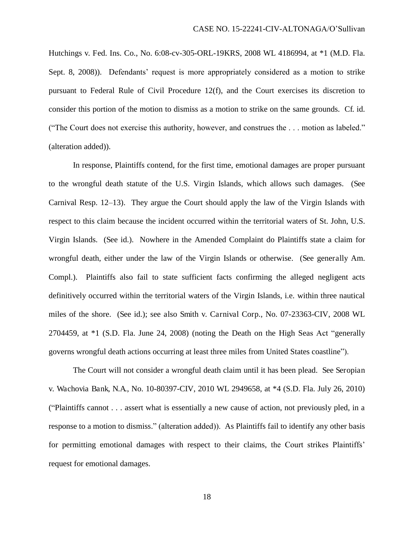Hutchings v. Fed. Ins. Co., No. 6:08-cv-305-ORL-19KRS, 2008 WL 4186994, at \*1 (M.D. Fla. Sept. 8, 2008)). Defendants' request is more appropriately considered as a motion to strike pursuant to Federal Rule of Civil Procedure 12(f), and the Court exercises its discretion to consider this portion of the motion to dismiss as a motion to strike on the same grounds. Cf. id. ("The Court does not exercise this authority, however, and construes the . . . motion as labeled." (alteration added)).

In response, Plaintiffs contend, for the first time, emotional damages are proper pursuant to the wrongful death statute of the U.S. Virgin Islands, which allows such damages. (See Carnival Resp. 12–13). They argue the Court should apply the law of the Virgin Islands with respect to this claim because the incident occurred within the territorial waters of St. John, U.S. Virgin Islands. (See id.). Nowhere in the Amended Complaint do Plaintiffs state a claim for wrongful death, either under the law of the Virgin Islands or otherwise. (See generally Am. Compl.). Plaintiffs also fail to state sufficient facts confirming the alleged negligent acts definitively occurred within the territorial waters of the Virgin Islands, i.e. within three nautical miles of the shore. (See id.); see also Smith v. Carnival Corp., No. 07-23363-CIV, 2008 WL 2704459, at \*1 (S.D. Fla. June 24, 2008) (noting the Death on the High Seas Act "generally governs wrongful death actions occurring at least three miles from United States coastline").

The Court will not consider a wrongful death claim until it has been plead. See Seropian v. Wachovia Bank, N.A., No. 10-80397-CIV, 2010 WL 2949658, at \*4 (S.D. Fla. July 26, 2010) ("Plaintiffs cannot . . . assert what is essentially a new cause of action, not previously pled, in a response to a motion to dismiss." (alteration added)). As Plaintiffs fail to identify any other basis for permitting emotional damages with respect to their claims, the Court strikes Plaintiffs' request for emotional damages.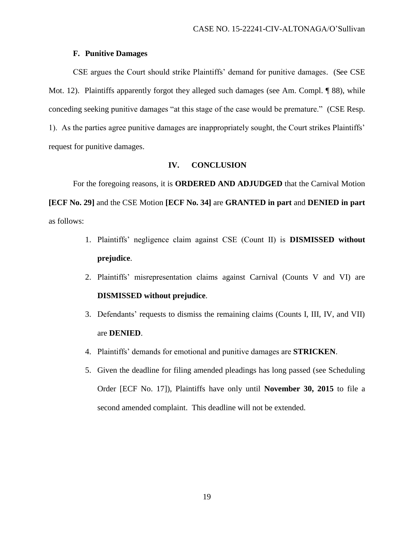### **F. Punitive Damages**

CSE argues the Court should strike Plaintiffs' demand for punitive damages. (See CSE Mot. 12). Plaintiffs apparently forgot they alleged such damages (see Am. Compl.  $\llbracket 88$ ), while conceding seeking punitive damages "at this stage of the case would be premature." (CSE Resp. 1). As the parties agree punitive damages are inappropriately sought, the Court strikes Plaintiffs' request for punitive damages.

## **IV. CONCLUSION**

For the foregoing reasons, it is **ORDERED AND ADJUDGED** that the Carnival Motion **[ECF No. 29]** and the CSE Motion **[ECF No. 34]** are **GRANTED in part** and **DENIED in part** as follows:

- 1. Plaintiffs' negligence claim against CSE (Count II) is **DISMISSED without prejudice**.
- 2. Plaintiffs' misrepresentation claims against Carnival (Counts V and VI) are **DISMISSED without prejudice**.
- 3. Defendants' requests to dismiss the remaining claims (Counts I, III, IV, and VII) are **DENIED**.
- 4. Plaintiffs' demands for emotional and punitive damages are **STRICKEN**.
- 5. Given the deadline for filing amended pleadings has long passed (see Scheduling Order [ECF No. 17]), Plaintiffs have only until **November 30, 2015** to file a second amended complaint. This deadline will not be extended.